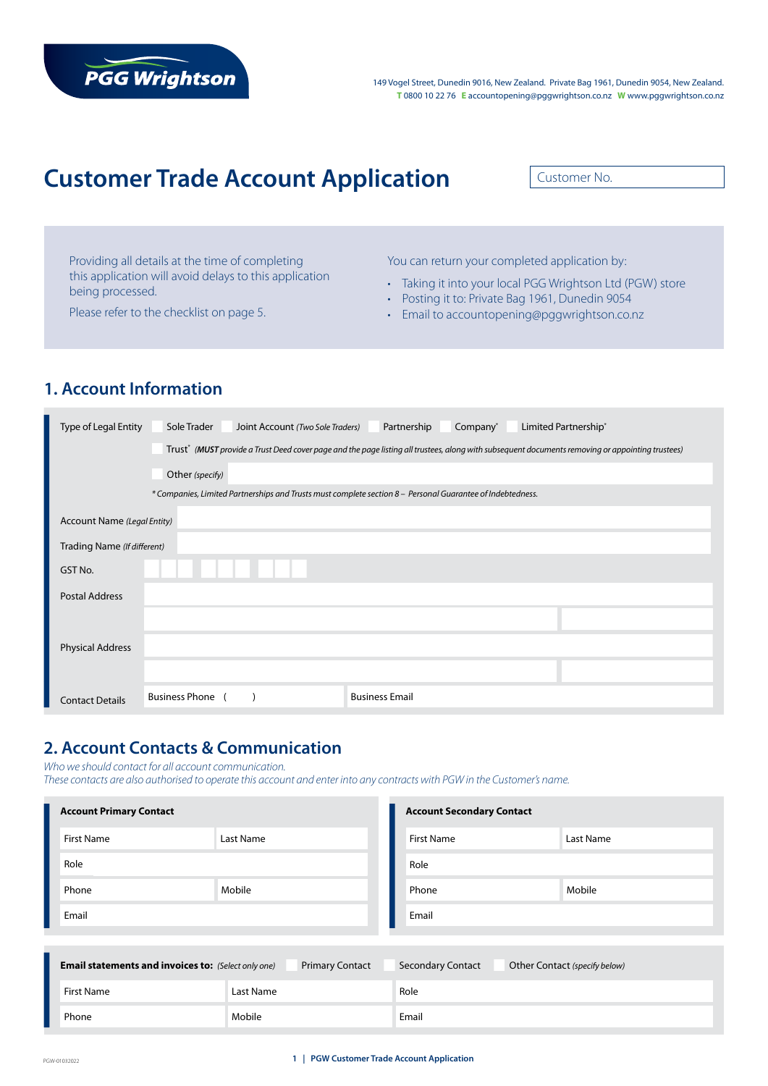# **PGG Wrightson**

149 Vogel Street, Dunedin 9016, New Zealand. Private Bag 1961, Dunedin 9054, New Zealand. **T** 0800 10 22 76 **E** accountopening@pggwrightson.co.nz **W** www.pggwrightson.co.nz

# **Customer Trade Account Application**

Customer No.

Providing all details at the time of completing this application will avoid delays to this application being processed.

Please refer to the checklist on page 5.

You can return your completed application by:

- Taking it into your local PGG Wrightson Ltd (PGW) store
- Posting it to: Private Bag 1961, Dunedin 9054
- Email to accountopening@pggwrightson.co.nz

## **1. Account Information**

| Type of Legal Entity        | Sole Trader<br>Partnership<br>Company*<br>Limited Partnership*<br>Joint Account (Two Sole Traders)                                               |
|-----------------------------|--------------------------------------------------------------------------------------------------------------------------------------------------|
|                             | Trust* (MUST provide a Trust Deed cover page and the page listing all trustees, along with subsequent documents removing or appointing trustees) |
|                             | Other (specify)                                                                                                                                  |
|                             | * Companies, Limited Partnerships and Trusts must complete section 8 - Personal Guarantee of Indebtedness.                                       |
| Account Name (Legal Entity) |                                                                                                                                                  |
| Trading Name (If different) |                                                                                                                                                  |
| GST No.                     |                                                                                                                                                  |
| <b>Postal Address</b>       |                                                                                                                                                  |
|                             |                                                                                                                                                  |
| <b>Physical Address</b>     |                                                                                                                                                  |
|                             |                                                                                                                                                  |
| <b>Contact Details</b>      | <b>Business Phone</b><br><b>Business Email</b>                                                                                                   |

### **2. Account Contacts & Communication**

*Who we should contact for all account communication.* 

*These contacts are also authorised to operate this account and enter into any contracts with PGW in the Customer's name.*

| <b>Account Primary Contact</b> |           | <b>Account Secondary Contact</b> |           |  |
|--------------------------------|-----------|----------------------------------|-----------|--|
| <b>First Name</b>              | Last Name | <b>First Name</b>                | Last Name |  |
| Role                           |           | Role                             |           |  |
| Phone                          | Mobile    | Phone                            | Mobile    |  |
| Email                          |           | Email                            |           |  |
|                                |           |                                  |           |  |

| <b>Email statements and invoices to:</b> (Select only one) | <b>Primary Contact</b> | <b>Secondary Contact</b> | Other Contact (specify below) |
|------------------------------------------------------------|------------------------|--------------------------|-------------------------------|
| First Name                                                 | Last Name              | Role                     |                               |
| Phone                                                      | Mobile                 | Email                    |                               |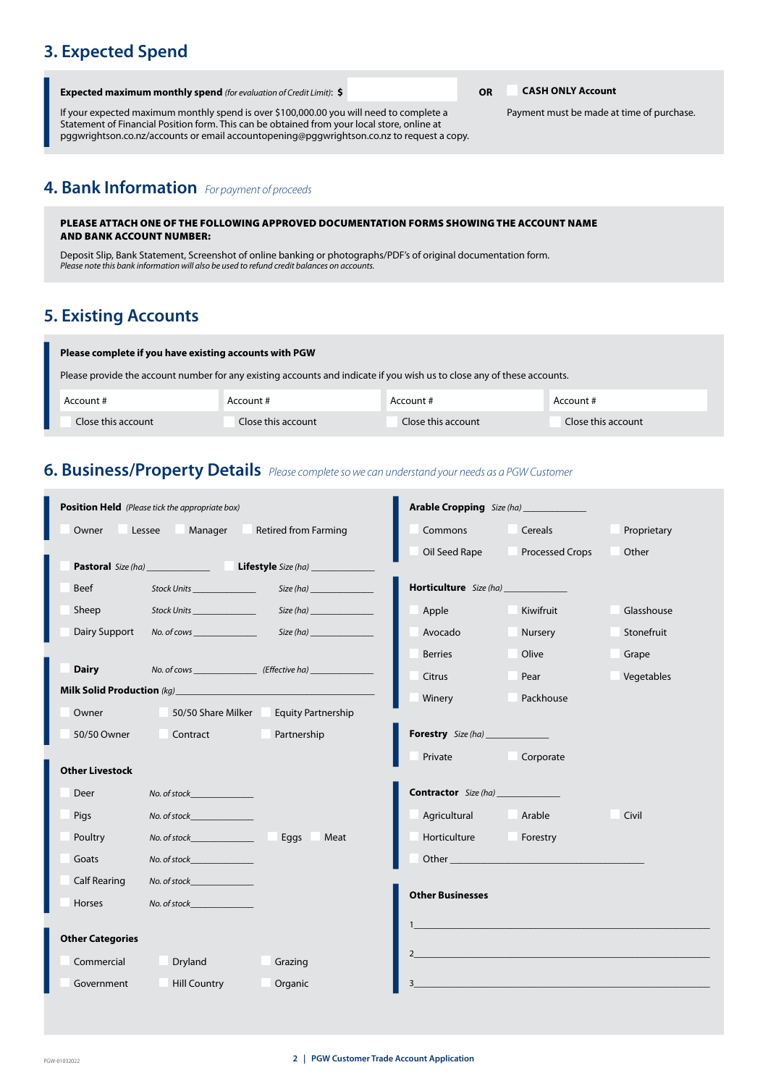# **3. Expected Spend**

| <b>Expected maximum monthly spend</b> (for evaluation of Credit Limit): \$ |  |
|----------------------------------------------------------------------------|--|
|----------------------------------------------------------------------------|--|

If your expected maximum monthly spend is over \$100,000.00 you will need to complete a Statement of Financial Position form. This can be obtained from your local store, online at pggwrightson.co.nz/accounts or email accountopening@pggwrightson.co.nz to request a copy.

**Expected maximum monthly spend** *(for evaluation of Credit Limit)*: **\$ OR CASH ONLY Account**

Payment must be made at time of purchase.

# **4. Bank Information** *For payment of proceeds*

#### PLEASE ATTACH ONE OF THE FOLLOWING APPROVED DOCUMENTATION FORMS SHOWING THE ACCOUNT NAME AND BANK ACCOUNT NUMBER:

Deposit Slip, Bank Statement, Screenshot of online banking or photographs/PDF's of original documentation form. *Please note this bank information will also be used to refund credit balances on accounts.*

### **5. Existing Accounts**

| Please complete if you have existing accounts with PGW                                                                  |                    |                    |                    |  |  |  |  |
|-------------------------------------------------------------------------------------------------------------------------|--------------------|--------------------|--------------------|--|--|--|--|
| Please provide the account number for any existing accounts and indicate if you wish us to close any of these accounts. |                    |                    |                    |  |  |  |  |
| Account #                                                                                                               | Account #          | Account #          | Account #          |  |  |  |  |
| Close this account                                                                                                      | Close this account | Close this account | Close this account |  |  |  |  |

### **6. Business/Property Details** *Please complete so we can understand your needs as a PGW Customer*

| <b>Position Held</b> (Please tick the appropriate box) |                                                                                                                | Arable Cropping Size (ha) _____________               |                             |                                                                                                               |             |
|--------------------------------------------------------|----------------------------------------------------------------------------------------------------------------|-------------------------------------------------------|-----------------------------|---------------------------------------------------------------------------------------------------------------|-------------|
| Owner                                                  | Lessee Manager                                                                                                 | <b>Retired from Farming</b>                           | Commons                     | Cereals                                                                                                       | Proprietary |
|                                                        |                                                                                                                |                                                       | Oil Seed Rape               | <b>Processed Crops</b>                                                                                        | Other       |
|                                                        |                                                                                                                |                                                       |                             |                                                                                                               |             |
| Beef                                                   | Stock Units <b>Stock Units</b>                                                                                 | Size (ha)                                             | Horticulture Size (ha)      |                                                                                                               |             |
| Sheep                                                  | Stock Units _______________                                                                                    | Size(ha)                                              | Apple                       | Kiwifruit                                                                                                     | Glasshouse  |
| Dairy Support                                          |                                                                                                                | Size(ha)                                              | Avocado                     | Nursery                                                                                                       | Stonefruit  |
|                                                        |                                                                                                                |                                                       | <b>Berries</b>              | Olive                                                                                                         | Grape       |
| <b>Dairy</b>                                           |                                                                                                                | No. of cows (Effective ha)                            | Citrus                      | Pear                                                                                                          | Vegetables  |
|                                                        |                                                                                                                | Milk Solid Production (kg) Milk Solid Production (kg) | Winery                      | Packhouse                                                                                                     |             |
| Owner                                                  |                                                                                                                | 50/50 Share Milker Equity Partnership                 |                             |                                                                                                               |             |
| 50/50 Owner                                            | Contract<br><b>Contract</b>                                                                                    | Partnership                                           | <b>Forestry</b> Size (ha)   |                                                                                                               |             |
|                                                        |                                                                                                                |                                                       | Private                     | Corporate                                                                                                     |             |
| <b>Other Livestock</b>                                 |                                                                                                                |                                                       |                             |                                                                                                               |             |
| Deer                                                   | No. of stock and the control of the control of the control of the control of the control of the control of the |                                                       | <b>Contractor</b> Size (ha) |                                                                                                               |             |
| <b>Pigs</b>                                            | No. of stock No. 1997                                                                                          |                                                       | Agricultural Arable         |                                                                                                               | Civil       |
| Poultry                                                | No. of stock and the control of the control of the control of the control of the control of the control of the | Eggs<br>Meat                                          | Horticulture                | <b>Example 1</b> Forestry                                                                                     |             |
| Goats                                                  | No. of stock and the control of the control of the control of the control of the control of the control of the |                                                       |                             | Other and the contract of the contract of the contract of the contract of the contract of the contract of the |             |
| <b>Calf Rearing</b>                                    | No. of stock and the control of the control of the control of the control of the control of the control of the |                                                       |                             |                                                                                                               |             |
| Horses                                                 | No. of stock and the control of the control of the control of the control of the control of the control of the |                                                       | <b>Other Businesses</b>     |                                                                                                               |             |
|                                                        |                                                                                                                |                                                       |                             |                                                                                                               |             |
| <b>Other Categories</b>                                |                                                                                                                |                                                       |                             |                                                                                                               |             |
| Commercial                                             | Dryland                                                                                                        | Grazing                                               |                             | $2 \left( \frac{1}{2} \right)$                                                                                |             |
| Government                                             | <b>Hill Country</b>                                                                                            | Organic                                               |                             | the control of the control of the control of the control of the control of the control of                     |             |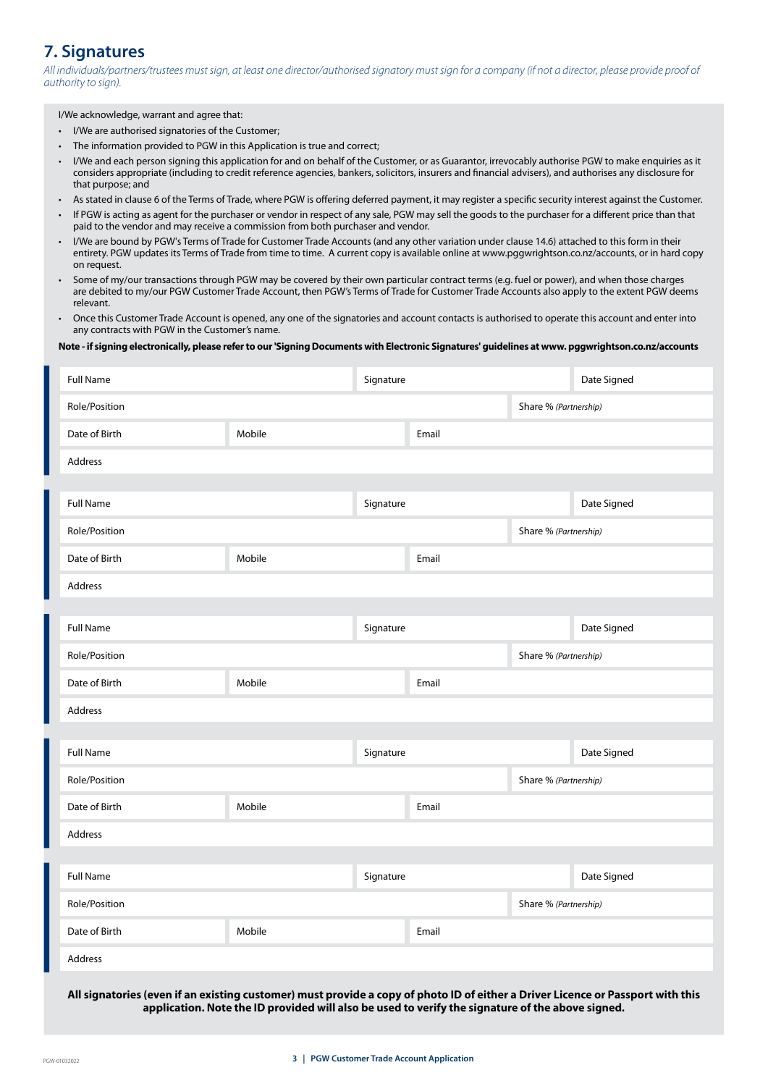### **7. Signatures**

*All individuals/partners/trustees must sign, at least one director/authorised signatory must sign for a company (if not a director, please provide proof of authority to sign).*

I/We acknowledge, warrant and agree that:

- I/We are authorised signatories of the Customer;
- The information provided to PGW in this Application is true and correct;
- I/We and each person signing this application for and on behalf of the Customer, or as Guarantor, irrevocably authorise PGW to make enquiries as it considers appropriate (including to credit reference agencies, bankers, solicitors, insurers and financial advisers), and authorises any disclosure for that purpose; and
- As stated in clause 6 of the Terms of Trade, where PGW is offering deferred payment, it may register a specific security interest against the Customer.
- If PGW is acting as agent for the purchaser or vendor in respect of any sale, PGW may sell the goods to the purchaser for a different price than that paid to the vendor and may receive a commission from both purchaser and vendor.
- I/We are bound by PGW's Terms of Trade for Customer Trade Accounts (and any other variation under clause 14.6) attached to this form in their entirety. PGW updates its Terms of Trade from time to time. A current copy is available online at www.pggwrightson.co.nz/accounts, or in hard copy on request.
- Some of my/our transactions through PGW may be covered by their own particular contract terms (e.g. fuel or power), and when those charges are debited to my/our PGW Customer Trade Account, then PGW's Terms of Trade for Customer Trade Accounts also apply to the extent PGW deems relevant.
- Once this Customer Trade Account is opened, any one of the signatories and account contacts is authorised to operate this account and enter into any contracts with PGW in the Customer's name.

#### **Note - if signing electronically, please refer to our 'Signing Documents with Electronic Signatures' guidelines at www. pggwrightson.co.nz/accounts**

| <b>Full Name</b> |        | Signature |                       |                       | Date Signed |
|------------------|--------|-----------|-----------------------|-----------------------|-------------|
| Role/Position    |        |           |                       | Share % (Partnership) |             |
| Date of Birth    | Mobile |           | Email                 |                       |             |
| Address          |        |           |                       |                       |             |
|                  |        |           |                       |                       |             |
| <b>Full Name</b> |        | Signature |                       |                       | Date Signed |
| Role/Position    |        |           |                       | Share % (Partnership) |             |
| Date of Birth    | Mobile |           | Email                 |                       |             |
| Address          |        |           |                       |                       |             |
|                  |        |           |                       |                       |             |
| <b>Full Name</b> |        | Signature |                       |                       | Date Signed |
| Role/Position    |        |           | Share % (Partnership) |                       |             |
| Date of Birth    | Mobile |           | Email                 |                       |             |
| Address          |        |           |                       |                       |             |
|                  |        |           |                       |                       |             |
| <b>Full Name</b> |        | Signature |                       |                       | Date Signed |
| Role/Position    |        |           |                       | Share % (Partnership) |             |
| Date of Birth    | Mobile |           | Email                 |                       |             |
| Address          |        |           |                       |                       |             |
|                  |        |           |                       |                       |             |
| <b>Full Name</b> |        | Signature |                       |                       | Date Signed |
| Role/Position    |        |           |                       | Share % (Partnership) |             |
| Date of Birth    | Mobile |           | Email                 |                       |             |
| Address          |        |           |                       |                       |             |

**All signatories (even if an existing customer) must provide a copy of photo ID of either a Driver Licence or Passport with this application. Note the ID provided will also be used to verify the signature of the above signed.**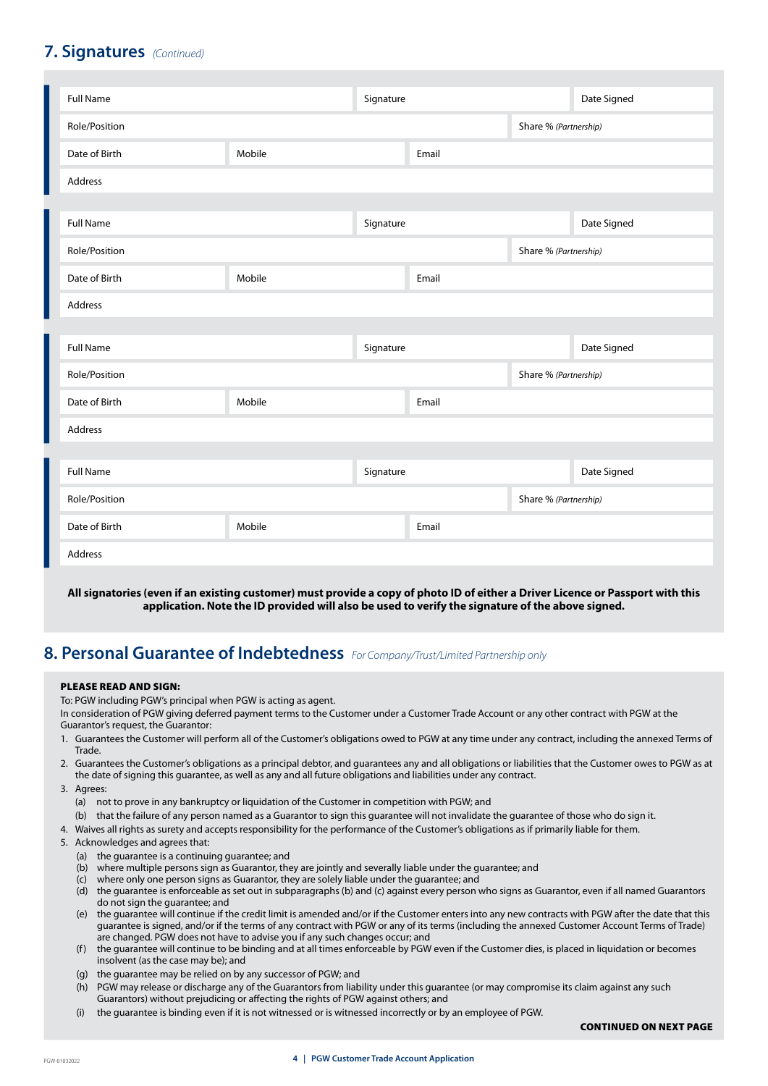### **7. Signatures** *(Continued)*

| <b>Full Name</b> |        | Signature |       |                       | Date Signed |
|------------------|--------|-----------|-------|-----------------------|-------------|
| Role/Position    |        |           |       | Share % (Partnership) |             |
| Date of Birth    | Mobile |           | Email |                       |             |
| Address          |        |           |       |                       |             |
|                  |        |           |       |                       |             |
| <b>Full Name</b> |        | Signature |       |                       | Date Signed |
| Role/Position    |        |           |       | Share % (Partnership) |             |
| Date of Birth    | Mobile |           | Email |                       |             |
| <b>Address</b>   |        |           |       |                       |             |
|                  |        |           |       |                       |             |
| <b>Full Name</b> |        | Signature |       |                       | Date Signed |
| Role/Position    |        |           |       | Share % (Partnership) |             |
| Date of Birth    | Mobile |           | Email |                       |             |
| Address          |        |           |       |                       |             |
|                  |        |           |       |                       |             |
| <b>Full Name</b> |        | Signature |       |                       | Date Signed |
| Role/Position    |        |           |       | Share % (Partnership) |             |
| Date of Birth    | Mobile |           | Email |                       |             |
| Address          |        |           |       |                       |             |

#### **All signatories (even if an existing customer) must provide a copy of photo ID of either a Driver Licence or Passport with this application. Note the ID provided will also be used to verify the signature of the above signed.**

### **8. Personal Guarantee of Indebtedness** *For Company/Trust/Limited Partnership only*

#### PLEASE READ AND SIGN:

To: PGW including PGW's principal when PGW is acting as agent.

In consideration of PGW giving deferred payment terms to the Customer under a Customer Trade Account or any other contract with PGW at the Guarantor's request, the Guarantor:

- 1. Guarantees the Customer will perform all of the Customer's obligations owed to PGW at any time under any contract, including the annexed Terms of Trade.
- 2. Guarantees the Customer's obligations as a principal debtor, and guarantees any and all obligations or liabilities that the Customer owes to PGW as at the date of signing this guarantee, as well as any and all future obligations and liabilities under any contract.
- 3. Agrees:
	- (a) not to prove in any bankruptcy or liquidation of the Customer in competition with PGW; and (b) that the failure of any person named as a Guarantor to sign this guarantee will not invalidate the guarantee of those who do sign it.
- 4. Waives all rights as surety and accepts responsibility for the performance of the Customer's obligations as if primarily liable for them.
- 5. Acknowledges and agrees that:
	- (a) the guarantee is a continuing guarantee; and
	- (b) where multiple persons sign as Guarantor, they are jointly and severally liable under the guarantee; and
	- (c) where only one person signs as Guarantor, they are solely liable under the guarantee; and
	- (d) the guarantee is enforceable as set out in subparagraphs (b) and (c) against every person who signs as Guarantor, even if all named Guarantors do not sign the guarantee; and
	- (e) the guarantee will continue if the credit limit is amended and/or if the Customer enters into any new contracts with PGW after the date that this guarantee is signed, and/or if the terms of any contract with PGW or any of its terms (including the annexed Customer Account Terms of Trade) are changed. PGW does not have to advise you if any such changes occur; and
	- (f) the guarantee will continue to be binding and at all times enforceable by PGW even if the Customer dies, is placed in liquidation or becomes insolvent (as the case may be); and
	- (g) the guarantee may be relied on by any successor of PGW; and
	- (h) PGW may release or discharge any of the Guarantors from liability under this guarantee (or may compromise its claim against any such Guarantors) without prejudicing or affecting the rights of PGW against others; and
	- (i) the guarantee is binding even if it is not witnessed or is witnessed incorrectly or by an employee of PGW.

#### CONTINUED ON NEXT PAGE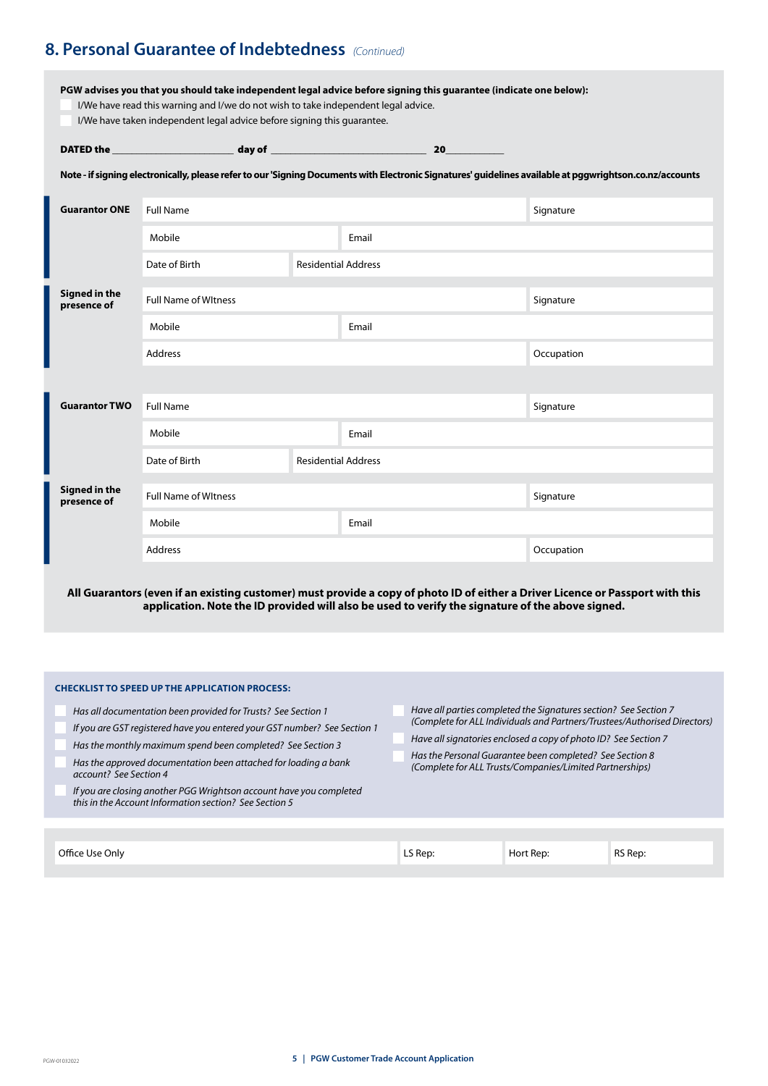### **8. Personal Guarantee of Indebtedness** *(Continued)*

**PGW advises you that you should take independent legal advice before signing this guarantee (indicate one below):**

- I/We have read this warning and I/we do not wish to take independent legal advice.
- I/We have taken independent legal advice before signing this guarantee.

| <b>DATED</b> the | dav of |  |  |
|------------------|--------|--|--|
|                  |        |  |  |

**Note - if signing electronically, please refer to our 'Signing Documents with Electronic Signatures' guidelines available at pggwrightson.co.nz/accounts**

| <b>Guarantor ONE</b>                | <b>Full Name</b>            |                            |       | Signature  |
|-------------------------------------|-----------------------------|----------------------------|-------|------------|
|                                     | Mobile                      |                            | Email |            |
|                                     | Date of Birth               | <b>Residential Address</b> |       |            |
| <b>Signed in the</b><br>presence of | <b>Full Name of Witness</b> |                            |       | Signature  |
|                                     | Mobile                      |                            | Email |            |
|                                     | Address                     |                            |       | Occupation |
|                                     |                             |                            |       |            |
| <b>Guarantor TWO</b>                | <b>Full Name</b>            |                            |       | Signature  |
|                                     | Mobile                      |                            | Email |            |
|                                     | Date of Birth               | <b>Residential Address</b> |       |            |
| Signed in the<br>presence of        | <b>Full Name of Witness</b> |                            |       | Signature  |
|                                     | Mobile                      |                            | Email |            |
|                                     | Address                     |                            |       | Occupation |

**All Guarantors (even if an existing customer) must provide a copy of photo ID of either a Driver Licence or Passport with this application. Note the ID provided will also be used to verify the signature of the above signed.**

#### **CHECKLIST TO SPEED UP THE APPLICATION PROCESS:**

- *Has all documentation been provided for Trusts? See Section 1*
- *If you are GST registered have you entered your GST number? See Section 1*
- *Has the monthly maximum spend been completed? See Section 3*
- *Has the approved documentation been attached for loading a bank account? See Section 4*
- *If you are closing another PGG Wrightson account have you completed this in the Account Information section? See Section 5*
- *Have all parties completed the Signatures section? See Section 7 (Complete for ALL Individuals and Partners/Trustees/Authorised Directors)*
- *Have all signatories enclosed a copy of photo ID? See Section 7*
- *Has the Personal Guarantee been completed? See Section 8 (Complete for ALL Trusts/Companies/Limited Partnerships)*

| Office Use Only<br>. | – Rep: د∟<br>the contract of the contract of the | Hort<br>Kep: | RS Rep. |
|----------------------|--------------------------------------------------|--------------|---------|
|----------------------|--------------------------------------------------|--------------|---------|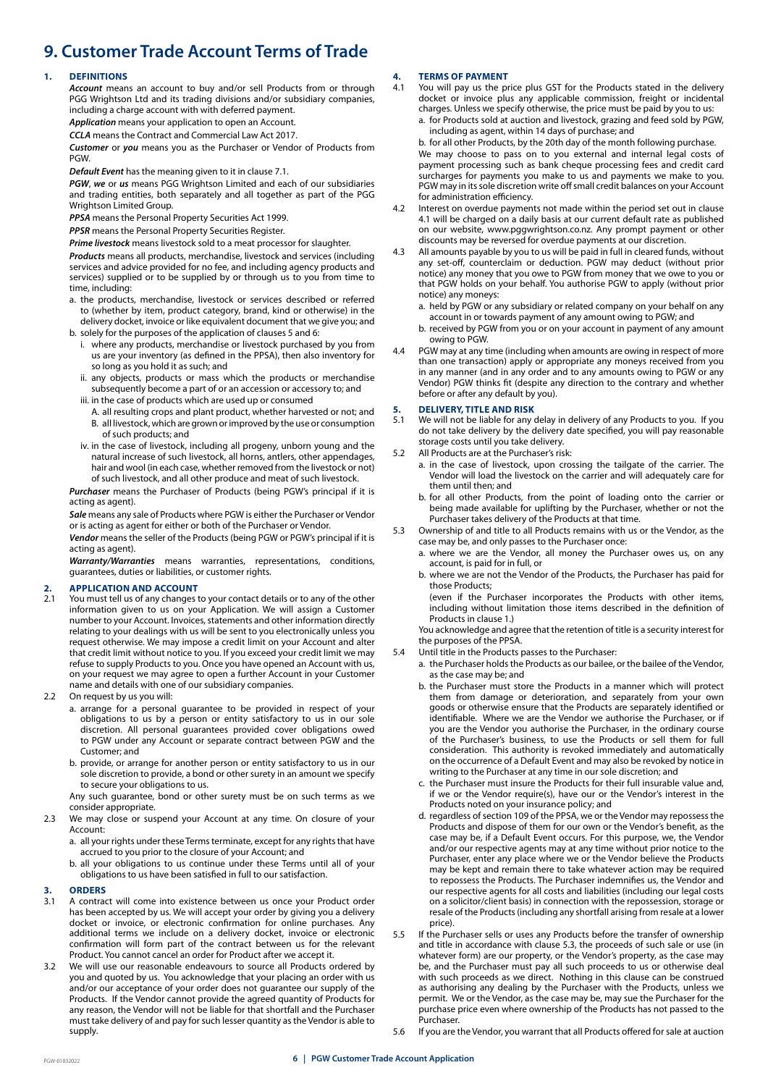## **9. Customer Trade Account Terms of Trade**

#### **1. DEFINITIONS**

*Account* means an account to buy and/or sell Products from or through PGG Wrightson Ltd and its trading divisions and/or subsidiary companies, including a charge account with with deferred payment.

*Application* means your application to open an Account.

*CCLA* means the Contract and Commercial Law Act 2017.

*Customer* or *you* means you as the Purchaser or Vendor of Products from PGW.

*Default Event* has the meaning given to it in clause 7.1.

*PGW*, *we* or *us* means PGG Wrightson Limited and each of our subsidiaries and trading entities, both separately and all together as part of the PGG Wrightson Limited Group.

*PPSA* means the Personal Property Securities Act 1999.

*PPSR* means the Personal Property Securities Register.

*Prime livestock* means livestock sold to a meat processor for slaughter.

*Products* means all products, merchandise, livestock and services (including services and advice provided for no fee, and including agency products and services) supplied or to be supplied by or through us to you from time to time, including:

- a. the products, merchandise, livestock or services described or referred to (whether by item, product category, brand, kind or otherwise) in the delivery docket, invoice or like equivalent document that we give you; and
- b. solely for the purposes of the application of clauses 5 and 6:
	- i. where any products, merchandise or livestock purchased by you from us are your inventory (as defined in the PPSA), then also inventory for so long as you hold it as such; and
	- ii. any objects, products or mass which the products or merchandise subsequently become a part of or an accession or accessory to; and
	- iii. in the case of products which are used up or consumed
	- A. all resulting crops and plant product, whether harvested or not; and B. all livestock, which are grown or improved by the use or consumption of such products; and
	- iv. in the case of livestock, including all progeny, unborn young and the natural increase of such livestock, all horns, antlers, other appendages, hair and wool (in each case, whether removed from the livestock or not) of such livestock, and all other produce and meat of such livestock.

*Purchaser* means the Purchaser of Products (being PGW's principal if it is acting as agent).

*Sale* means any sale of Products where PGW is either the Purchaser or Vendor or is acting as agent for either or both of the Purchaser or Vendor.

*Vendor* means the seller of the Products (being PGW or PGW's principal if it is acting as agent).

*Warranty/Warranties* means warranties, representations, conditions, guarantees, duties or liabilities, or customer rights.

#### **2. APPLICATION AND ACCOUNT**

- 2.1 You must tell us of any changes to your contact details or to any of the other information given to us on your Application. We will assign a Customer number to your Account. Invoices, statements and other information directly relating to your dealings with us will be sent to you electronically unless you request otherwise. We may impose a credit limit on your Account and alter that credit limit without notice to you. If you exceed your credit limit we may refuse to supply Products to you. Once you have opened an Account with us, on your request we may agree to open a further Account in your Customer name and details with one of our subsidiary companies.
- 2.2 On request by us you will:
	- a. arrange for a personal guarantee to be provided in respect of your obligations to us by a person or entity satisfactory to us in our sole discretion. All personal guarantees provided cover obligations owed to PGW under any Account or separate contract between PGW and the Customer; and
	- b. provide, or arrange for another person or entity satisfactory to us in our sole discretion to provide, a bond or other surety in an amount we specify to secure your obligations to us.

Any such guarantee, bond or other surety must be on such terms as we consider appropriate.

2.3 We may close or suspend your Account at any time. On closure of your Account:

a. all your rights under these Terms terminate, except for any rights that have accrued to you prior to the closure of your Account; and

b. all your obligations to us continue under these Terms until all of your obligations to us have been satisfied in full to our satisfaction.

### **3. ORDERS**

- 3.1 A contract will come into existence between us once your Product order has been accepted by us. We will accept your order by giving you a delivery docket or invoice, or electronic confirmation for online purchases. Any additional terms we include on a delivery docket, invoice or electronic confirmation will form part of the contract between us for the relevant Product. You cannot cancel an order for Product after we accept it.
- 3.2 We will use our reasonable endeavours to source all Products ordered by you and quoted by us. You acknowledge that your placing an order with us and/or our acceptance of your order does not guarantee our supply of the Products. If the Vendor cannot provide the agreed quantity of Products for any reason, the Vendor will not be liable for that shortfall and the Purchaser must take delivery of and pay for such lesser quantity as the Vendor is able to supply.

# **4. TERMS OF PAYMENT**<br>**4.1** You will pay us the p

- You will pay us the price plus GST for the Products stated in the delivery docket or invoice plus any applicable commission, freight or incidental charges. Unless we specify otherwise, the price must be paid by you to us:
	- a. for Products sold at auction and livestock, grazing and feed sold by PGW, including as agent, within 14 days of purchase; and

b. for all other Products, by the 20th day of the month following purchase. We may choose to pass on to you external and internal legal costs of payment processing such as bank cheque processing fees and credit card surcharges for payments you make to us and payments we make to you. PGW may in its sole discretion write off small credit balances on your Account for administration efficiency.

- 4.2 Interest on overdue payments not made within the period set out in clause 4.1 will be charged on a daily basis at our current default rate as published on our website, www.pggwrightson.co.nz. Any prompt payment or other discounts may be reversed for overdue payments at our discretion.
- All amounts payable by you to us will be paid in full in cleared funds, without any set-off, counterclaim or deduction. PGW may deduct (without prior notice) any money that you owe to PGW from money that we owe to you or that PGW holds on your behalf. You authorise PGW to apply (without prior notice) any moneys:
	- a. held by PGW or any subsidiary or related company on your behalf on any account in or towards payment of any amount owing to PGW; and
	- b. received by PGW from you or on your account in payment of any amount owing to PGW.
- 4.4 PGW may at any time (including when amounts are owing in respect of more than one transaction) apply or appropriate any moneys received from you in any manner (and in any order and to any amounts owing to PGW or any Vendor) PGW thinks fit (despite any direction to the contrary and whether before or after any default by you).

### **5. DELIVERY, TITLE AND RISK**

- We will not be liable for any delay in delivery of any Products to you. If you do not take delivery by the delivery date specified, you will pay reasonable storage costs until you take delivery.
- 5.2 All Products are at the Purchaser's risk:
	- a. in the case of livestock, upon crossing the tailgate of the carrier. The Vendor will load the livestock on the carrier and will adequately care for them until then; and
	- b. for all other Products, from the point of loading onto the carrier or being made available for uplifting by the Purchaser, whether or not the Purchaser takes delivery of the Products at that time.
- 5.3 Ownership of and title to all Products remains with us or the Vendor, as the case may be, and only passes to the Purchaser once:
	- a. where we are the Vendor, all money the Purchaser owes us, on any account, is paid for in full, or
	- b. where we are not the Vendor of the Products, the Purchaser has paid for those Products;

(even if the Purchaser incorporates the Products with other items, including without limitation those items described in the definition of Products in clause 1.)

You acknowledge and agree that the retention of title is a security interest for the purposes of the PPSA.

- 5.4 Until title in the Products passes to the Purchaser:
	- a. the Purchaser holds the Products as our bailee, or the bailee of the Vendor, as the case may be; and
	- b. the Purchaser must store the Products in a manner which will protect them from damage or deterioration, and separately from your own goods or otherwise ensure that the Products are separately identified or identifiable. Where we are the Vendor we authorise the Purchaser, or if you are the Vendor you authorise the Purchaser, in the ordinary course of the Purchaser's business, to use the Products or sell them for full consideration. This authority is revoked immediately and automatically on the occurrence of a Default Event and may also be revoked by notice in writing to the Purchaser at any time in our sole discretion; and
	- c. the Purchaser must insure the Products for their full insurable value and, if we or the Vendor require(s), have our or the Vendor's interest in the Products noted on your insurance policy; and
	- d. regardless of section 109 of the PPSA, we or the Vendor may repossess the Products and dispose of them for our own or the Vendor's benefit, as the case may be, if a Default Event occurs. For this purpose, we, the Vendor and/or our respective agents may at any time without prior notice to the Purchaser, enter any place where we or the Vendor believe the Products may be kept and remain there to take whatever action may be required to repossess the Products. The Purchaser indemnifies us, the Vendor and our respective agents for all costs and liabilities (including our legal costs on a solicitor/client basis) in connection with the repossession, storage or resale of the Products (including any shortfall arising from resale at a lower price).
- 5.5 If the Purchaser sells or uses any Products before the transfer of ownership and title in accordance with clause 5.3, the proceeds of such sale or use (in whatever form) are our property, or the Vendor's property, as the case may be, and the Purchaser must pay all such proceeds to us or otherwise deal with such proceeds as we direct. Nothing in this clause can be construed as authorising any dealing by the Purchaser with the Products, unless we permit. We or the Vendor, as the case may be, may sue the Purchaser for the purchase price even where ownership of the Products has not passed to the Purchaser.
- 5.6 If you are the Vendor, you warrant that all Products offered for sale at auction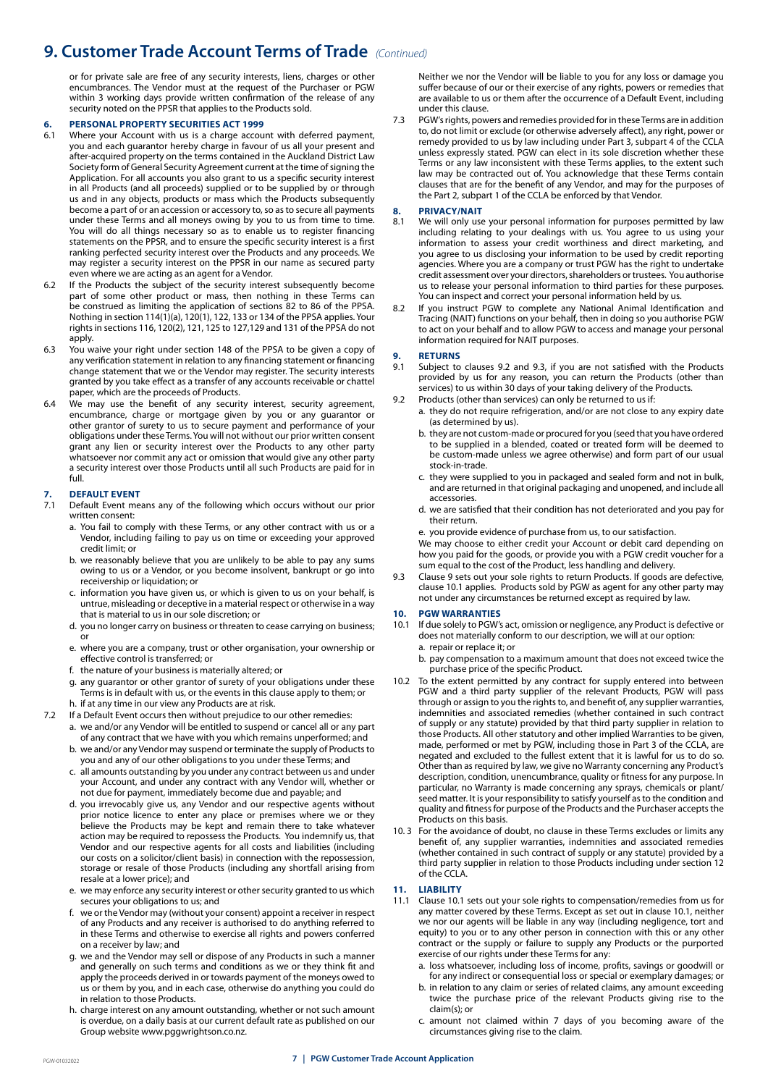### **9. Customer Trade Account Terms of Trade** *(Continued)*

or for private sale are free of any security interests, liens, charges or other encumbrances. The Vendor must at the request of the Purchaser or PGW within 3 working days provide written confirmation of the release of any security noted on the PPSR that applies to the Products sold.

# **6. PERSONAL PROPERTY SECURITIES ACT 1999**

- Where your Account with us is a charge account with deferred payment, you and each guarantor hereby charge in favour of us all your present and after-acquired property on the terms contained in the Auckland District Law Society form of General Security Agreement current at the time of signing the Application. For all accounts you also grant to us a specific security interest in all Products (and all proceeds) supplied or to be supplied by or through us and in any objects, products or mass which the Products subsequently become a part of or an accession or accessory to, so as to secure all payments under these Terms and all moneys owing by you to us from time to time. You will do all things necessary so as to enable us to register financing statements on the PPSR, and to ensure the specific security interest is a first ranking perfected security interest over the Products and any proceeds. We may register a security interest on the PPSR in our name as secured party even where we are acting as an agent for a Vendor.
- 6.2 If the Products the subject of the security interest subsequently become part of some other product or mass, then nothing in these Terms can be construed as limiting the application of sections 82 to 86 of the PPSA. Nothing in section 114(1)(a), 120(1), 122, 133 or 134 of the PPSA applies. Your rights in sections 116, 120(2), 121, 125 to 127,129 and 131 of the PPSA do not apply.
- 6.3 You waive your right under section 148 of the PPSA to be given a copy of any verification statement in relation to any financing statement or financing change statement that we or the Vendor may register. The security interests granted by you take effect as a transfer of any accounts receivable or chattel paper, which are the proceeds of Products.
- 6.4 We may use the benefit of any security interest, security agreement, encumbrance, charge or mortgage given by you or any guarantor or other grantor of surety to us to secure payment and performance of your obligations under these Terms. You will not without our prior written consent grant any lien or security interest over the Products to any other party whatsoever nor commit any act or omission that would give any other party a security interest over those Products until all such Products are paid for in full.

# **7. DEFAULT EVENT**

- Default Event means any of the following which occurs without our prior written consent:
	- a. You fail to comply with these Terms, or any other contract with us or a Vendor, including failing to pay us on time or exceeding your approved credit limit; or
	- b. we reasonably believe that you are unlikely to be able to pay any sums owing to us or a Vendor, or you become insolvent, bankrupt or go into receivership or liquidation; or
	- c. information you have given us, or which is given to us on your behalf, is untrue, misleading or deceptive in a material respect or otherwise in a way that is material to us in our sole discretion; or
	- d. you no longer carry on business or threaten to cease carrying on business; or
	- e. where you are a company, trust or other organisation, your ownership or effective control is transferred; or
	- f. the nature of your business is materially altered; or
	- g. any guarantor or other grantor of surety of your obligations under these Terms is in default with us, or the events in this clause apply to them; or h. if at any time in our view any Products are at risk.
- 7.2 If a Default Event occurs then without prejudice to our other remedies:
	- a. we and/or any Vendor will be entitled to suspend or cancel all or any part of any contract that we have with you which remains unperformed; and
	- b. we and/or any Vendor may suspend or terminate the supply of Products to you and any of our other obligations to you under these Terms; and
	- c. all amounts outstanding by you under any contract between us and under your Account, and under any contract with any Vendor will, whether or not due for payment, immediately become due and payable; and
	- d. you irrevocably give us, any Vendor and our respective agents without prior notice licence to enter any place or premises where we or they believe the Products may be kept and remain there to take whatever action may be required to repossess the Products. You indemnify us, that Vendor and our respective agents for all costs and liabilities (including our costs on a solicitor/client basis) in connection with the repossession, storage or resale of those Products (including any shortfall arising from resale at a lower price); and
	- e. we may enforce any security interest or other security granted to us which secures your obligations to us; and
	- f. we or the Vendor may (without your consent) appoint a receiver in respect of any Products and any receiver is authorised to do anything referred to in these Terms and otherwise to exercise all rights and powers conferred on a receiver by law; and
	- g. we and the Vendor may sell or dispose of any Products in such a manner and generally on such terms and conditions as we or they think fit and apply the proceeds derived in or towards payment of the moneys owed to us or them by you, and in each case, otherwise do anything you could do in relation to those Products.
	- h. charge interest on any amount outstanding, whether or not such amount is overdue, on a daily basis at our current default rate as published on our Group website www.pggwrightson.co.nz.

Neither we nor the Vendor will be liable to you for any loss or damage you suffer because of our or their exercise of any rights, powers or remedies that are available to us or them after the occurrence of a Default Event, including under this clause.

7.3 PGW's rights, powers and remedies provided for in these Terms are in addition to, do not limit or exclude (or otherwise adversely affect), any right, power or remedy provided to us by law including under Part 3, subpart 4 of the CCLA unless expressly stated. PGW can elect in its sole discretion whether these Terms or any law inconsistent with these Terms applies, to the extent such law may be contracted out of. You acknowledge that these Terms contain clauses that are for the benefit of any Vendor, and may for the purposes of the Part 2, subpart 1 of the CCLA be enforced by that Vendor.

#### **8. PRIVACY/NAIT**

- 8.1 We will only use your personal information for purposes permitted by law including relating to your dealings with us. You agree to us using your information to assess your credit worthiness and direct marketing, and you agree to us disclosing your information to be used by credit reporting agencies. Where you are a company or trust PGW has the right to undertake credit assessment over your directors, shareholders or trustees. You authorise us to release your personal information to third parties for these purposes. You can inspect and correct your personal information held by us.
- 8.2 If you instruct PGW to complete any National Animal Identification and Tracing (NAIT) functions on your behalf, then in doing so you authorise PGW to act on your behalf and to allow PGW to access and manage your personal information required for NAIT purposes.

#### **9. RETURNS**

- 9.1 Subject to clauses 9.2 and 9.3, if you are not satisfied with the Products provided by us for any reason, you can return the Products (other than services) to us within 30 days of your taking delivery of the Products.
- 9.2 Products (other than services) can only be returned to us if:
	- a. they do not require refrigeration, and/or are not close to any expiry date (as determined by us).
	- b. they are not custom-made or procured for you (seed that you have ordered to be supplied in a blended, coated or treated form will be deemed to be custom-made unless we agree otherwise) and form part of our usual stock-in-trade.
	- c. they were supplied to you in packaged and sealed form and not in bulk, and are returned in that original packaging and unopened, and include all accessories.
	- d. we are satisfied that their condition has not deteriorated and you pay for their return.
	- e. you provide evidence of purchase from us, to our satisfaction.

We may choose to either credit your Account or debit card depending on how you paid for the goods, or provide you with a PGW credit voucher for a sum equal to the cost of the Product, less handling and delivery.

9.3 Clause 9 sets out your sole rights to return Products. If goods are defective, clause 10.1 applies. Products sold by PGW as agent for any other party may not under any circumstances be returned except as required by law.

# **10. PGW WARRANTIES**

- If due solely to PGW's act, omission or negligence, any Product is defective or does not materially conform to our description, we will at our option: a. repair or replace it; or
	- b. pay compensation to a maximum amount that does not exceed twice the purchase price of the specific Product.
- 10.2 To the extent permitted by any contract for supply entered into between PGW and a third party supplier of the relevant Products, PGW will pass through or assign to you the rights to, and benefit of, any supplier warranties, indemnities and associated remedies (whether contained in such contract of supply or any statute) provided by that third party supplier in relation to those Products. All other statutory and other implied Warranties to be given, made, performed or met by PGW, including those in Part 3 of the CCLA, are negated and excluded to the fullest extent that it is lawful for us to do so. Other than as required by law, we give no Warranty concerning any Product's description, condition, unencumbrance, quality or fitness for any purpose. In particular, no Warranty is made concerning any sprays, chemicals or plant/ seed matter. It is your responsibility to satisfy yourself as to the condition and quality and fitness for purpose of the Products and the Purchaser accepts the Products on this basis.
- 10. 3 For the avoidance of doubt, no clause in these Terms excludes or limits any benefit of, any supplier warranties, indemnities and associated remedies (whether contained in such contract of supply or any statute) provided by a third party supplier in relation to those Products including under section 12 of the CCLA.

#### **11. LIABILITY**

- Clause 10.1 sets out your sole rights to compensation/remedies from us for any matter covered by these Terms. Except as set out in clause 10.1, neither we nor our agents will be liable in any way (including negligence, tort and equity) to you or to any other person in connection with this or any other contract or the supply or failure to supply any Products or the purported exercise of our rights under these Terms for any:
	- a. loss whatsoever, including loss of income, profits, savings or goodwill or for any indirect or consequential loss or special or exemplary damages; or
	- b. in relation to any claim or series of related claims, any amount exceeding twice the purchase price of the relevant Products giving rise to the claim(s); or
	- c. amount not claimed within 7 days of you becoming aware of the circumstances giving rise to the claim.